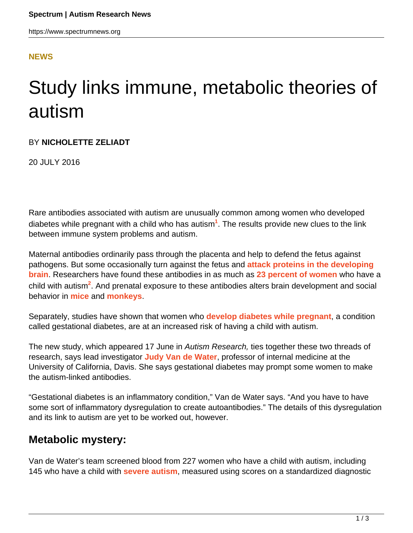## **[NEWS](HTTPS://WWW.SPECTRUMNEWS.ORG/NEWS/)**

# Study links immune, metabolic theories of autism

### BY **NICHOLETTE ZELIADT**

20 JULY 2016

Rare antibodies associated with autism are unusually common among women who developed diabetes while pregnant with a child who has autism**<sup>1</sup>** . The results provide new clues to the link between immune system problems and autism.

Maternal antibodies ordinarily pass through the placenta and help to defend the fetus against pathogens. But some occasionally turn against the fetus and **[attack proteins in the developing](https://www.spectrumnews.org/opinion/viewpoint/maternal-anti-brain-antibodies-may-play-a-role-in-autism/) [brain](https://www.spectrumnews.org/opinion/viewpoint/maternal-anti-brain-antibodies-may-play-a-role-in-autism/)**. Researchers have found these antibodies in as much as **[23 percent of women](https://www.spectrumnews.org/news/researchers-flag-targets-of-autism-linked-antibodies/)** who have a child with autism**<sup>2</sup>** . And prenatal exposure to these antibodies alters brain development and social behavior in **[mice](https://www.spectrumnews.org/news/maternal-immune-molecule-triggers-autism-symptoms-in-male-mice/)** and **[monkeys](https://www.spectrumnews.org/news/antibodies-to-fetal-proteins-trigger-autism-features/)**.

Separately, studies have shown that women who **[develop diabetes while pregnant](https://www.spectrumnews.org/opinion/diabetes-during-pregnancy-ups-childs-autism-risk/)**, a condition called gestational diabetes, are at an increased risk of having a child with autism.

The new study, which appeared 17 June in Autism Research, ties together these two threads of research, says lead investigator **[Judy Van de Water](https://www.spectrumnews.org/author/judyvandewater/)**, professor of internal medicine at the University of California, Davis. She says gestational diabetes may prompt some women to make the autism-linked antibodies.

"Gestational diabetes is an inflammatory condition," Van de Water says. "And you have to have some sort of inflammatory dysregulation to create autoantibodies." The details of this dysregulation and its link to autism are yet to be worked out, however.

## **Metabolic mystery:**

Van de Water's team screened blood from 227 women who have a child with autism, including 145 who have a child with **[severe autism](https://www.spectrumnews.org/news/clinical-research-new-test-yields-accurate-severity-scores/)**, measured using scores on a standardized diagnostic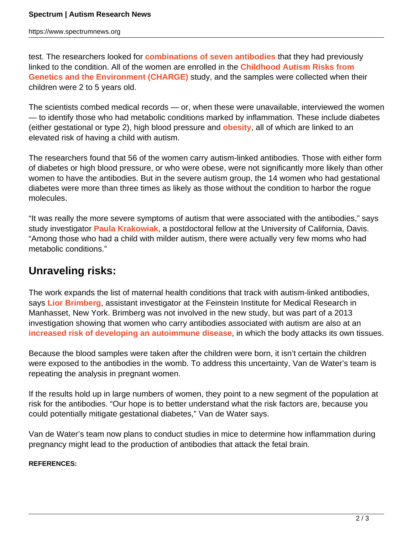test. The researchers looked for **[combinations of seven antibodies](https://www.spectrumnews.org/news/studies-of-early-development-reveal-immune-link-to-autism/)** that they had previously linked to the condition. All of the women are enrolled in the **[Childhood Autism Risks from](http://beincharge.ucdavis.edu/) [Genetics and the Environment \(CHARGE\)](http://beincharge.ucdavis.edu/)** study, and the samples were collected when their children were 2 to 5 years old.

The scientists combed medical records — or, when these were unavailable, interviewed the women — to identify those who had metabolic conditions marked by inflammation. These include diabetes (either gestational or type 2), high blood pressure and **[obesity](https://www.spectrumnews.org/opinion/maternal-obesity/)**, all of which are linked to an elevated risk of having a child with autism.

The researchers found that 56 of the women carry autism-linked antibodies. Those with either form of diabetes or high blood pressure, or who were obese, were not significantly more likely than other women to have the antibodies. But in the severe autism group, the 14 women who had gestational diabetes were more than three times as likely as those without the condition to harbor the rogue molecules.

"It was really the more severe symptoms of autism that were associated with the antibodies," says study investigator **[Paula Krakowiak](https://scholar.google.com/citations?user=xtcdbGoAAAAJ&hl=en)**, a postdoctoral fellow at the University of California, Davis. "Among those who had a child with milder autism, there were actually very few moms who had metabolic conditions."

## **Unraveling risks:**

The work expands the list of maternal health conditions that track with autism-linked antibodies, says **[Lior Brimberg](http://www.feinsteininstitute.org/our-researchers/lior-brimberg-phd/)**, assistant investigator at the Feinstein Institute for Medical Research in Manhasset, New York. Brimberg was not involved in the new study, but was part of a 2013 investigation showing that women who carry antibodies associated with autism are also at an **[increased risk of developing an autoimmune disease](https://www.spectrumnews.org/news/large-study-links-autism-to-autoimmune-disease-in-mothers/)**, in which the body attacks its own tissues.

Because the blood samples were taken after the children were born, it isn't certain the children were exposed to the antibodies in the womb. To address this uncertainty, Van de Water's team is repeating the analysis in pregnant women.

If the results hold up in large numbers of women, they point to a new segment of the population at risk for the antibodies. "Our hope is to better understand what the risk factors are, because you could potentially mitigate gestational diabetes," Van de Water says.

Van de Water's team now plans to conduct studies in mice to determine how inflammation during pregnancy might lead to the production of antibodies that attack the fetal brain.

#### **REFERENCES:**